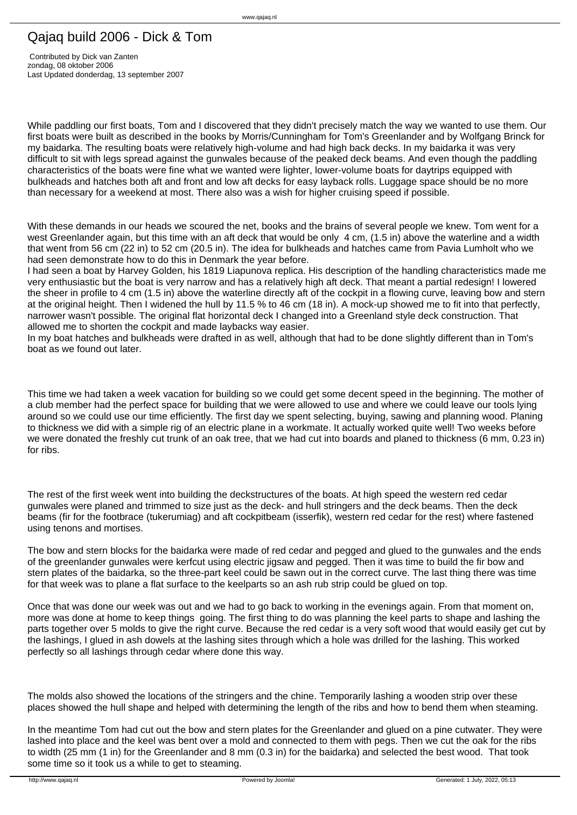## Qajaq build 2006 - Dick & Tom

 Contributed by Dick van Zanten zondag, 08 oktober 2006 Last Updated donderdag, 13 september 2007

While paddling our first boats. Tom and I discovered that they didn't precisely match the way we wanted to use them. Our first boats were built as described in the books by Morris/Cunningham for Tom's Greenlander and by Wolfgang Brinck for my baidarka. The resulting boats were relatively high-volume and had high back decks. In my baidarka it was very difficult to sit with legs spread against the gunwales because of the peaked deck beams. And even though the paddling characteristics of the boats were fine what we wanted were lighter, lower-volume boats for daytrips equipped with bulkheads and hatches both aft and front and low aft decks for easy layback rolls. Luggage space should be no more than necessary for a weekend at most. There also was a wish for higher cruising speed if possible.

With these demands in our heads we scoured the net, books and the brains of several people we knew. Tom went for a west Greenlander again, but this time with an aft deck that would be only 4 cm, (1.5 in) above the waterline and a width that went from 56 cm (22 in) to 52 cm (20.5 in). The idea for bulkheads and hatches came from Pavia Lumholt who we had seen demonstrate how to do this in Denmark the year before.

I had seen a boat by Harvey Golden, his 1819 Liapunova replica. His description of the handling characteristics made me very enthusiastic but the boat is very narrow and has a relatively high aft deck. That meant a partial redesign! I lowered the sheer in profile to 4 cm (1.5 in) above the waterline directly aft of the cockpit in a flowing curve, leaving bow and stern at the original height. Then I widened the hull by 11.5 % to 46 cm (18 in). A mock-up showed me to fit into that perfectly, narrower wasn't possible. The original flat horizontal deck I changed into a Greenland style deck construction. That allowed me to shorten the cockpit and made laybacks way easier.

In my boat hatches and bulkheads were drafted in as well, although that had to be done slightly different than in Tom's boat as we found out later.

This time we had taken a week vacation for building so we could get some decent speed in the beginning. The mother of a club member had the perfect space for building that we were allowed to use and where we could leave our tools lying around so we could use our time efficiently. The first day we spent selecting, buying, sawing and planning wood. Planing to thickness we did with a simple rig of an electric plane in a workmate. It actually worked quite well! Two weeks before we were donated the freshly cut trunk of an oak tree, that we had cut into boards and planed to thickness (6 mm, 0.23 in) for ribs.

The rest of the first week went into building the deckstructures of the boats. At high speed the western red cedar gunwales were planed and trimmed to size just as the deck- and hull stringers and the deck beams. Then the deck beams (fir for the footbrace (tukerumiag) and aft cockpitbeam (isserfik), western red cedar for the rest) where fastened using tenons and mortises.

The bow and stern blocks for the baidarka were made of red cedar and pegged and glued to the gunwales and the ends of the greenlander gunwales were kerfcut using electric jigsaw and pegged. Then it was time to build the fir bow and stern plates of the baidarka, so the three-part keel could be sawn out in the correct curve. The last thing there was time for that week was to plane a flat surface to the keelparts so an ash rub strip could be glued on top.

Once that was done our week was out and we had to go back to working in the evenings again. From that moment on, more was done at home to keep things going. The first thing to do was planning the keel parts to shape and lashing the parts together over 5 molds to give the right curve. Because the red cedar is a very soft wood that would easily get cut by the lashings, I glued in ash dowels at the lashing sites through which a hole was drilled for the lashing. This worked perfectly so all lashings through cedar where done this way.

The molds also showed the locations of the stringers and the chine. Temporarily lashing a wooden strip over these places showed the hull shape and helped with determining the length of the ribs and how to bend them when steaming.

In the meantime Tom had cut out the bow and stern plates for the Greenlander and glued on a pine cutwater. They were lashed into place and the keel was bent over a mold and connected to them with pegs. Then we cut the oak for the ribs to width (25 mm (1 in) for the Greenlander and 8 mm (0.3 in) for the baidarka) and selected the best wood. That took some time so it took us a while to get to steaming.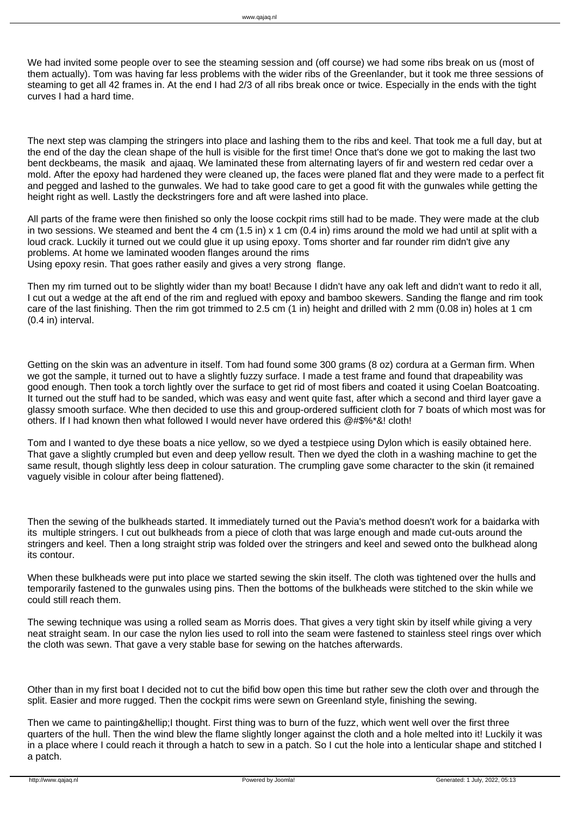We had invited some people over to see the steaming session and (off course) we had some ribs break on us (most of them actually). Tom was having far less problems with the wider ribs of the Greenlander, but it took me three sessions of steaming to get all 42 frames in. At the end I had 2/3 of all ribs break once or twice. Especially in the ends with the tight curves I had a hard time.

The next step was clamping the stringers into place and lashing them to the ribs and keel. That took me a full day, but at the end of the day the clean shape of the hull is visible for the first time! Once that's done we got to making the last two bent deckbeams, the masik and ajaaq. We laminated these from alternating layers of fir and western red cedar over a mold. After the epoxy had hardened they were cleaned up, the faces were planed flat and they were made to a perfect fit and pegged and lashed to the gunwales. We had to take good care to get a good fit with the gunwales while getting the height right as well. Lastly the deckstringers fore and aft were lashed into place.

All parts of the frame were then finished so only the loose cockpit rims still had to be made. They were made at the club in two sessions. We steamed and bent the 4 cm  $(1.5 \text{ in}) \times 1 \text{ cm}$  (0.4 in) rims around the mold we had until at split with a loud crack. Luckily it turned out we could glue it up using epoxy. Toms shorter and far rounder rim didn't give any problems. At home we laminated wooden flanges around the rims Using epoxy resin. That goes rather easily and gives a very strong flange.

Then my rim turned out to be slightly wider than my boat! Because I didn't have any oak left and didn't want to redo it all, I cut out a wedge at the aft end of the rim and reglued with epoxy and bamboo skewers. Sanding the flange and rim took care of the last finishing. Then the rim got trimmed to 2.5 cm (1 in) height and drilled with 2 mm (0.08 in) holes at 1 cm (0.4 in) interval.

Getting on the skin was an adventure in itself. Tom had found some 300 grams (8 oz) cordura at a German firm. When we got the sample, it turned out to have a slightly fuzzy surface. I made a test frame and found that drapeability was good enough. Then took a torch lightly over the surface to get rid of most fibers and coated it using Coelan Boatcoating. It turned out the stuff had to be sanded, which was easy and went quite fast, after which a second and third layer gave a glassy smooth surface. Whe then decided to use this and group-ordered sufficient cloth for 7 boats of which most was for others. If I had known then what followed I would never have ordered this @#\$%\*&! cloth!

Tom and I wanted to dye these boats a nice yellow, so we dyed a testpiece using Dylon which is easily obtained here. That gave a slightly crumpled but even and deep yellow result. Then we dyed the cloth in a washing machine to get the same result, though slightly less deep in colour saturation. The crumpling gave some character to the skin (it remained vaguely visible in colour after being flattened).

Then the sewing of the bulkheads started. It immediately turned out the Pavia's method doesn't work for a baidarka with its multiple stringers. I cut out bulkheads from a piece of cloth that was large enough and made cut-outs around the stringers and keel. Then a long straight strip was folded over the stringers and keel and sewed onto the bulkhead along its contour.

When these bulkheads were put into place we started sewing the skin itself. The cloth was tightened over the hulls and temporarily fastened to the gunwales using pins. Then the bottoms of the bulkheads were stitched to the skin while we could still reach them.

The sewing technique was using a rolled seam as Morris does. That gives a very tight skin by itself while giving a very neat straight seam. In our case the nylon lies used to roll into the seam were fastened to stainless steel rings over which the cloth was sewn. That gave a very stable base for sewing on the hatches afterwards.

Other than in my first boat I decided not to cut the bifid bow open this time but rather sew the cloth over and through the split. Easier and more rugged. Then the cockpit rims were sewn on Greenland style, finishing the sewing.

Then we came to painting…I thought. First thing was to burn of the fuzz, which went well over the first three quarters of the hull. Then the wind blew the flame slightly longer against the cloth and a hole melted into it! Luckily it was in a place where I could reach it through a hatch to sew in a patch. So I cut the hole into a lenticular shape and stitched I a patch.